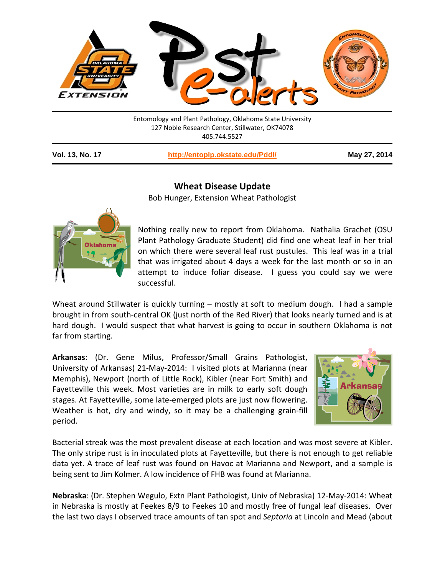

127 Noble Research Center, Stillwater, OK74078 405.744.5527

**Vol. 13, No. 17 <http://entoplp.okstate.edu/Pddl/> May 27, 2014**

## **Dklahom**

**Wheat Disease Update**

Bob Hunger, Extension Wheat Pathologist

Nothing really new to report from Oklahoma. Nathalia Grachet (OSU Plant Pathology Graduate Student) did find one wheat leaf in her trial on which there were several leaf rust pustules. This leaf was in a trial that was irrigated about 4 days a week for the last month or so in an attempt to induce foliar disease. I guess you could say we were successful.

Wheat around Stillwater is quickly turning – mostly at soft to medium dough. I had a sample brought in from south-central OK (just north of the Red River) that looks nearly turned and is at hard dough. I would suspect that what harvest is going to occur in southern Oklahoma is not far from starting.

**Arkansas**: (Dr. Gene Milus, Professor/Small Grains Pathologist, University of Arkansas) 21-May-2014: I visited plots at Marianna (near Memphis), Newport (north of Little Rock), Kibler (near Fort Smith) and Fayetteville this week. Most varieties are in milk to early soft dough stages. At Fayetteville, some late-emerged plots are just now flowering. Weather is hot, dry and windy, so it may be a challenging grain-fill period.



Bacterial streak was the most prevalent disease at each location and was most severe at Kibler. The only stripe rust is in inoculated plots at Fayetteville, but there is not enough to get reliable data yet. A trace of leaf rust was found on Havoc at Marianna and Newport, and a sample is being sent to Jim Kolmer. A low incidence of FHB was found at Marianna.

**Nebraska**: (Dr. Stephen Wegulo, Extn Plant Pathologist, Univ of Nebraska) 12-May-2014: Wheat in Nebraska is mostly at Feekes 8/9 to Feekes 10 and mostly free of fungal leaf diseases. Over the last two days I observed trace amounts of tan spot and *Septoria* at Lincoln and Mead (about